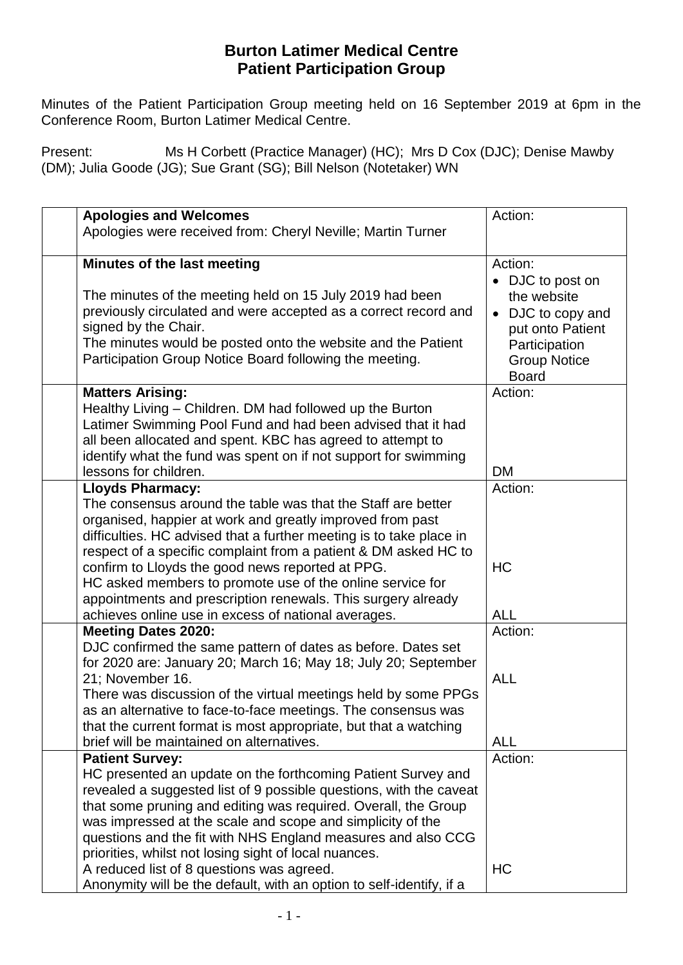## **Burton Latimer Medical Centre Patient Participation Group**

 Minutes of the Patient Participation Group meeting held on 16 September 2019 at 6pm in the Conference Room, Burton Latimer Medical Centre.

Present: Ms H Corbett (Practice Manager) (HC); Mrs D Cox (DJC); Denise Mawby (DM); Julia Goode (JG); Sue Grant (SG); Bill Nelson (Notetaker) WN

|                                                                                              | Action:             |
|----------------------------------------------------------------------------------------------|---------------------|
| <b>Apologies and Welcomes</b><br>Apologies were received from: Cheryl Neville; Martin Turner |                     |
|                                                                                              |                     |
| Minutes of the last meeting                                                                  | Action:             |
|                                                                                              | • DJC to post on    |
| The minutes of the meeting held on 15 July 2019 had been                                     | the website         |
| previously circulated and were accepted as a correct record and                              | DJC to copy and     |
| signed by the Chair.                                                                         | put onto Patient    |
| The minutes would be posted onto the website and the Patient                                 | Participation       |
| Participation Group Notice Board following the meeting.                                      | <b>Group Notice</b> |
|                                                                                              | <b>Board</b>        |
| <b>Matters Arising:</b>                                                                      | Action:             |
| Healthy Living – Children. DM had followed up the Burton                                     |                     |
| Latimer Swimming Pool Fund and had been advised that it had                                  |                     |
| all been allocated and spent. KBC has agreed to attempt to                                   |                     |
| identify what the fund was spent on if not support for swimming                              |                     |
| lessons for children.                                                                        | <b>DM</b>           |
| <b>Lloyds Pharmacy:</b>                                                                      | Action:             |
| The consensus around the table was that the Staff are better                                 |                     |
| organised, happier at work and greatly improved from past                                    |                     |
| difficulties. HC advised that a further meeting is to take place in                          |                     |
| respect of a specific complaint from a patient & DM asked HC to                              |                     |
| confirm to Lloyds the good news reported at PPG.                                             | <b>HC</b>           |
| HC asked members to promote use of the online service for                                    |                     |
| appointments and prescription renewals. This surgery already                                 |                     |
| achieves online use in excess of national averages.                                          | <b>ALL</b>          |
| <b>Meeting Dates 2020:</b>                                                                   | Action:             |
| DJC confirmed the same pattern of dates as before. Dates set                                 |                     |
| for 2020 are: January 20; March 16; May 18; July 20; September<br>21; November 16.           | <b>ALL</b>          |
| There was discussion of the virtual meetings held by some PPGs                               |                     |
| as an alternative to face-to-face meetings. The consensus was                                |                     |
| that the current format is most appropriate, but that a watching                             |                     |
| brief will be maintained on alternatives.                                                    | <b>ALL</b>          |
| <b>Patient Survey:</b>                                                                       | Action:             |
| HC presented an update on the forthcoming Patient Survey and                                 |                     |
| revealed a suggested list of 9 possible questions, with the caveat                           |                     |
| that some pruning and editing was required. Overall, the Group                               |                     |
| was impressed at the scale and scope and simplicity of the                                   |                     |
| questions and the fit with NHS England measures and also CCG                                 |                     |
| priorities, whilst not losing sight of local nuances.                                        |                     |
| A reduced list of 8 questions was agreed.                                                    | HC                  |
| Anonymity will be the default, with an option to self-identify, if a                         |                     |